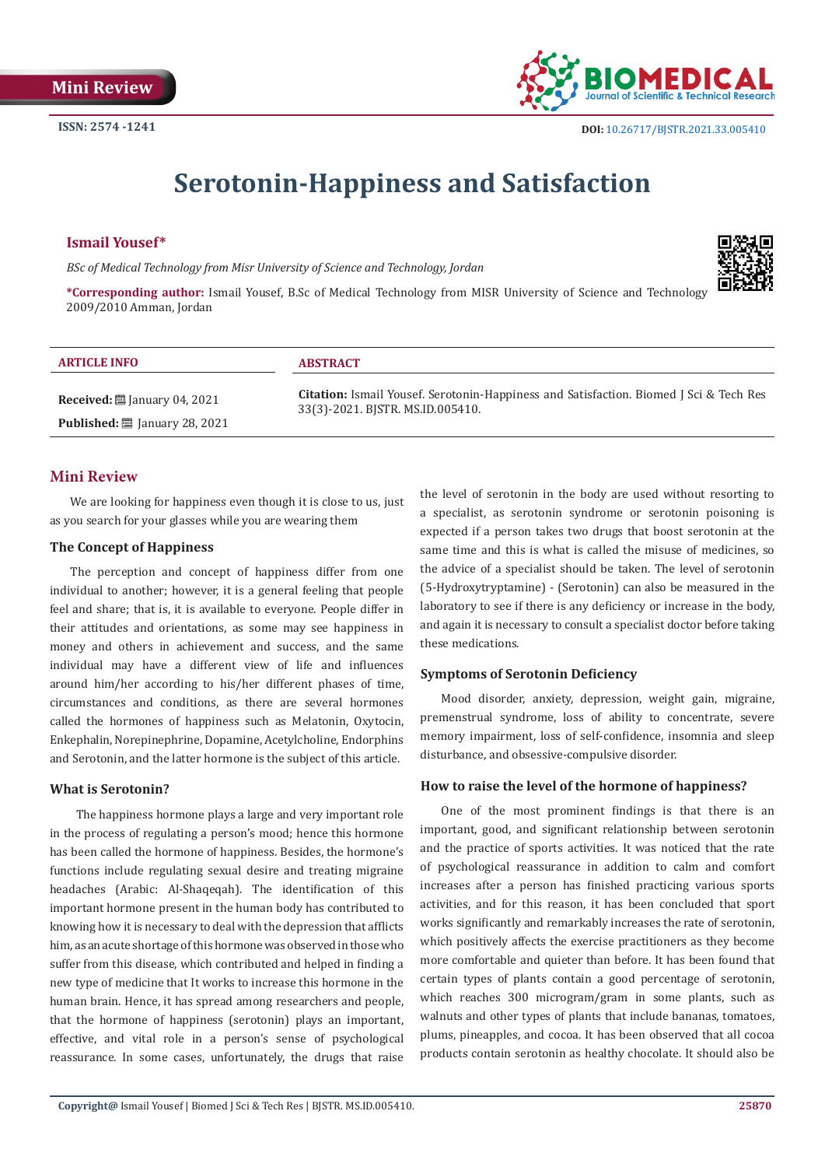

# **Serotonin-Happiness and Satisfaction**

#### **Ismail Yousef\***

*BSc of Medical Technology from Misr University of Science and Technology, Jordan*



**\*Corresponding author:** Ismail Yousef, B.Sc of Medical Technology from MISR University of Science and Technology 2009/2010 Amman, Jordan

| <b>ARTICLE INFO</b>                            | <b>ABSTRACT</b>                                                                               |
|------------------------------------------------|-----------------------------------------------------------------------------------------------|
| <b>Received:</b> $\ddot{\Xi}$ January 04, 2021 | <b>Citation:</b> Ismail Yousef. Serotonin-Happiness and Satisfaction. Biomed J Sci & Tech Res |
| Published: [29] January 28, 2021               | 33(3)-2021. BJSTR. MS.ID.005410.                                                              |

# **Mini Review**

We are looking for happiness even though it is close to us, just as you search for your glasses while you are wearing them

#### **The Concept of Happiness**

The perception and concept of happiness differ from one individual to another; however, it is a general feeling that people feel and share; that is, it is available to everyone. People differ in their attitudes and orientations, as some may see happiness in money and others in achievement and success, and the same individual may have a different view of life and influences around him/her according to his/her different phases of time, circumstances and conditions, as there are several hormones called the hormones of happiness such as Melatonin, Oxytocin, Enkephalin, Norepinephrine, Dopamine, Acetylcholine, Endorphins and Serotonin, and the latter hormone is the subject of this article.

## **What is Serotonin?**

 The happiness hormone plays a large and very important role in the process of regulating a person's mood; hence this hormone has been called the hormone of happiness. Besides, the hormone's functions include regulating sexual desire and treating migraine headaches (Arabic: Al-Shaqeqah). The identification of this important hormone present in the human body has contributed to knowing how it is necessary to deal with the depression that afflicts him, as an acute shortage of this hormone was observed in those who suffer from this disease, which contributed and helped in finding a new type of medicine that It works to increase this hormone in the human brain. Hence, it has spread among researchers and people, that the hormone of happiness (serotonin) plays an important, effective, and vital role in a person's sense of psychological reassurance. In some cases, unfortunately, the drugs that raise

the level of serotonin in the body are used without resorting to a specialist, as serotonin syndrome or serotonin poisoning is expected if a person takes two drugs that boost serotonin at the same time and this is what is called the misuse of medicines, so the advice of a specialist should be taken. The level of serotonin (5-Hydroxytryptamine) - (Serotonin) can also be measured in the laboratory to see if there is any deficiency or increase in the body, and again it is necessary to consult a specialist doctor before taking these medications.

## **Symptoms of Serotonin Deficiency**

Mood disorder, anxiety, depression, weight gain, migraine, premenstrual syndrome, loss of ability to concentrate, severe memory impairment, loss of self-confidence, insomnia and sleep disturbance, and obsessive-compulsive disorder.

## **How to raise the level of the hormone of happiness?**

One of the most prominent findings is that there is an important, good, and significant relationship between serotonin and the practice of sports activities. It was noticed that the rate of psychological reassurance in addition to calm and comfort increases after a person has finished practicing various sports activities, and for this reason, it has been concluded that sport works significantly and remarkably increases the rate of serotonin, which positively affects the exercise practitioners as they become more comfortable and quieter than before. It has been found that certain types of plants contain a good percentage of serotonin, which reaches 300 microgram/gram in some plants, such as walnuts and other types of plants that include bananas, tomatoes, plums, pineapples, and cocoa. It has been observed that all cocoa products contain serotonin as healthy chocolate. It should also be